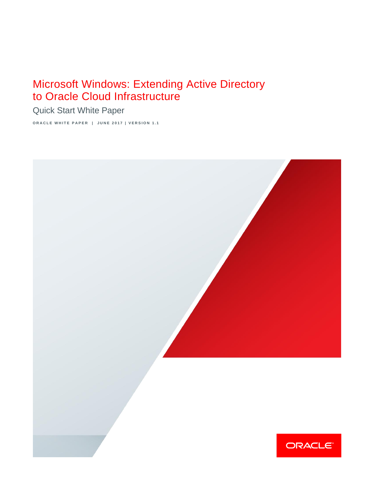# Microsoft Windows: Extending Active Directory to Oracle Cloud Infrastructure

Quick Start White Paper

**ORACLE WHITE PAPER | JUNE 2017 | VERSION 1.1** 

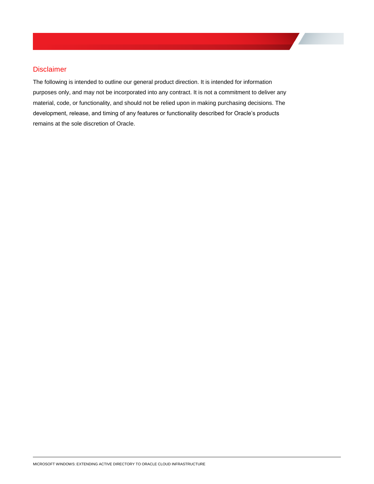## <span id="page-1-0"></span>Disclaimer

The following is intended to outline our general product direction. It is intended for information purposes only, and may not be incorporated into any contract. It is not a commitment to deliver any material, code, or functionality, and should not be relied upon in making purchasing decisions. The development, release, and timing of any features or functionality described for Oracle's products remains at the sole discretion of Oracle.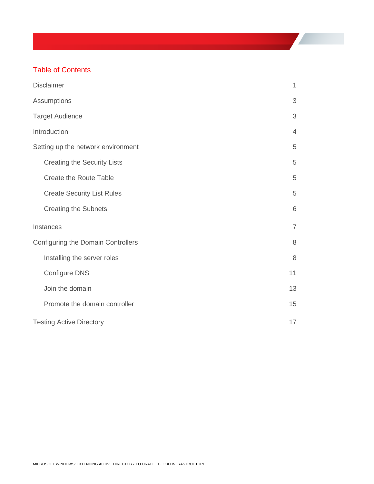## Table of Contents

| <b>Disclaimer</b>                         | $\mathbf{1}$   |
|-------------------------------------------|----------------|
| Assumptions                               | 3              |
| <b>Target Audience</b>                    | 3              |
| Introduction                              | $\overline{4}$ |
| Setting up the network environment        | 5              |
| <b>Creating the Security Lists</b>        | 5              |
| <b>Create the Route Table</b>             | 5              |
| <b>Create Security List Rules</b>         | 5              |
| <b>Creating the Subnets</b>               | 6              |
| Instances                                 | $\overline{7}$ |
| <b>Configuring the Domain Controllers</b> | 8              |
| Installing the server roles               | 8              |
| Configure DNS                             | 11             |
| Join the domain                           | 13             |
| Promote the domain controller             | 15             |
| <b>Testing Active Directory</b>           | 17             |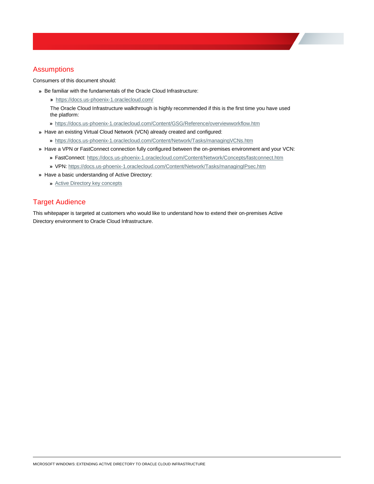## <span id="page-3-0"></span>**Assumptions**

Consumers of this document should:

- **»** Be familiar with the fundamentals of the Oracle Cloud Infrastructure:
	- **»** <https://docs.us-phoenix-1.oraclecloud.com/>

The Oracle Cloud Infrastructure walkthrough is highly recommended if this is the first time you have used the platform:

- **»** <https://docs.us-phoenix-1.oraclecloud.com/Content/GSG/Reference/overviewworkflow.htm>
- **»** Have an existing Virtual Cloud Network (VCN) already created and configured:
	- **»** <https://docs.us-phoenix-1.oraclecloud.com/Content/Network/Tasks/managingVCNs.htm>
- **»** Have a VPN or FastConnect connection fully configured between the on-premises environment and your VCN:
	- **»** FastConnect[: https://docs.us-phoenix-1.oraclecloud.com/Content/Network/Concepts/fastconnect.htm](https://docs.us-phoenix-1.oraclecloud.com/Content/Network/Concepts/fastconnect.htm)
	- **»** VPN:<https://docs.us-phoenix-1.oraclecloud.com/Content/Network/Tasks/managingIPsec.htm>
- **»** Have a basic understanding of Active Directory:
	- **»** [Active Directory key concepts](https://msdn.microsoft.com/en-us/library/aa772157(v=vs.85).aspx)

## <span id="page-3-1"></span>Target Audience

This whitepaper is targeted at customers who would like to understand how to extend their on-premises Active Directory environment to Oracle Cloud Infrastructure.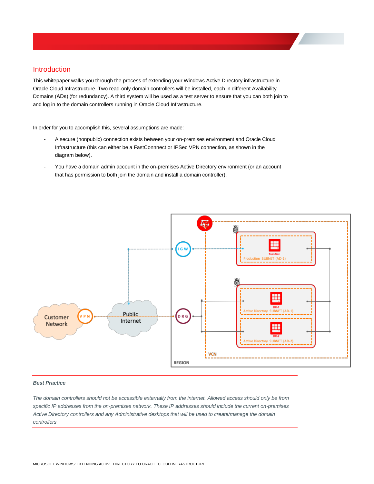## <span id="page-4-0"></span>Introduction

This whitepaper walks you through the process of extending your Windows Active Directory infrastructure in Oracle Cloud Infrastructure. Two read-only domain controllers will be installed, each in different Availability Domains (ADs) (for redundancy). A third system will be used as a test server to ensure that you can both join to and log in to the domain controllers running in Oracle Cloud Infrastructure.

In order for you to accomplish this, several assumptions are made:

- A secure (nonpublic) connection exists between your on-premises environment and Oracle Cloud Infrastructure (this can either be a FastConnnect or IPSec VPN connection, as shown in the diagram below).
- You have a domain admin account in the on-premises Active Directory environment (or an account that has permission to both join the domain and install a domain controller).



### *Best Practice*

*The domain controllers should not be accessible externally from the internet. Allowed access should only be from specific IP addresses from the on-premises network. These IP addresses should include the current on-premises Active Directory controllers and any Administrative desktops that will be used to create/manage the domain controllers*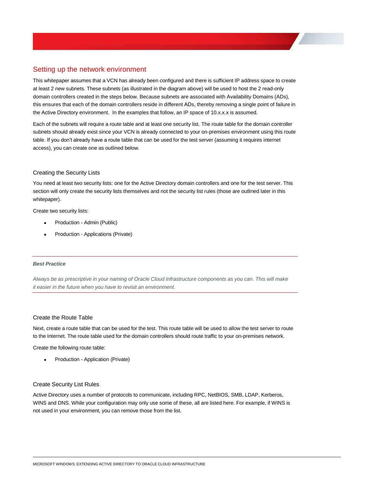## <span id="page-5-0"></span>Setting up the network environment

This whitepaper assumes that a VCN has already been configured and there is sufficient IP address space to create at least 2 new subnets. These subnets (as illustrated in the diagram above) will be used to host the 2 read-only domain controllers created in the steps below. Because subnets are associated with Availability Domains (ADs), this ensures that each of the domain controllers reside in different ADs, thereby removing a single point of failure in the Active Directory environment. In the examples that follow, an IP space of 10.x.x.x is assumed.

Each of the subnets will require a route table and at least one security list. The route table for the domain controller subnets should already exist since your VCN is already connected to your on-premises environment using this route table. If you don't already have a route table that can be used for the test server (assuming it requires internet access), you can create one as outlined below.

## <span id="page-5-1"></span>Creating the Security Lists

You need at least two security lists: one for the Active Directory domain controllers and one for the test server. This section will only create the security lists themselves and not the security list rules (those are outlined later in this whitepaper).

Create two security lists:

- Production Admin (Public)
- Production Applications (Private)

## *Best Practice*

*Always be as prescriptive in your naming of Oracle Cloud Infrastructure components as you can. This will make it easier in the future when you have to revisit an environment.* 

## <span id="page-5-2"></span>Create the Route Table

Next, create a route table that can be used for the test. This route table will be used to allow the test server to route to the Internet. The route table used for the domain controllers should route traffic to your on-premises network.

Create the following route table:

Production - Application (Private)

## <span id="page-5-3"></span>Create Security List Rules

Active Directory uses a number of protocols to communicate, including RPC, NetBIOS, SMB, LDAP, Kerberos, WINS and DNS. While your configuration may only use some of these, all are listed here. For example, if WINS is not used in your environment, you can remove those from the list.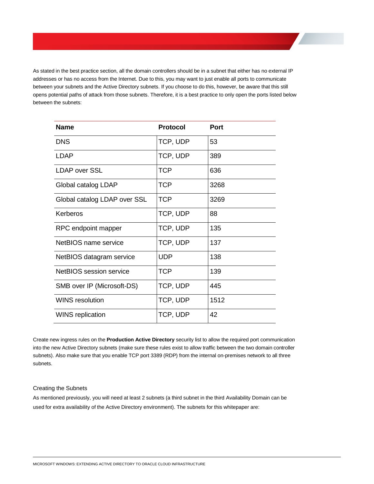As stated in the best practice section, all the domain controllers should be in a subnet that either has no external IP addresses or has no access from the Internet. Due to this, you may want to just enable all ports to communicate between your subnets and the Active Directory subnets. If you choose to do this, however, be aware that this still opens potential paths of attack from those subnets. Therefore, it is a best practice to only open the ports listed below between the subnets:

| <b>Name</b>                  | <b>Protocol</b> | Port |
|------------------------------|-----------------|------|
| <b>DNS</b>                   | TCP, UDP        | 53   |
| LDAP                         | TCP, UDP        | 389  |
| LDAP over SSL                | <b>TCP</b>      | 636  |
| Global catalog LDAP          | <b>TCP</b>      | 3268 |
| Global catalog LDAP over SSL | <b>TCP</b>      | 3269 |
| Kerberos                     | TCP, UDP        | 88   |
| RPC endpoint mapper          | TCP, UDP        | 135  |
| NetBIOS name service         | TCP, UDP        | 137  |
| NetBIOS datagram service     | <b>UDP</b>      | 138  |
| NetBIOS session service      | <b>TCP</b>      | 139  |
| SMB over IP (Microsoft-DS)   | TCP, UDP        | 445  |
| WINS resolution              | TCP, UDP        | 1512 |
| <b>WINS</b> replication      | TCP, UDP        | 42   |

Create new ingress rules on the **Production Active Directory** security list to allow the required port communication into the new Active Directory subnets (make sure these rules exist to allow traffic between the two domain controller subnets). Also make sure that you enable TCP port 3389 (RDP) from the internal on-premises network to all three subnets.

## <span id="page-6-0"></span>Creating the Subnets

As mentioned previously, you will need at least 2 subnets (a third subnet in the third Availability Domain can be used for extra availability of the Active Directory environment). The subnets for this whitepaper are: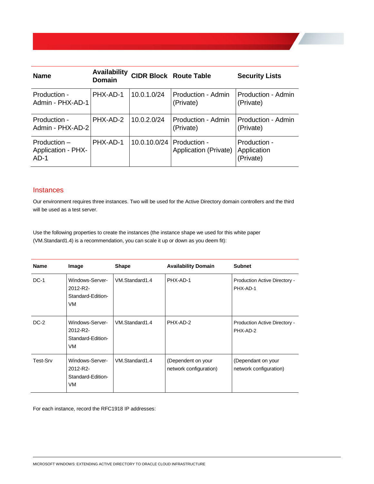| <b>Name</b>                                           | <b>Availability</b><br><b>Domain</b> |                           | <b>CIDR Block Route Table</b>   | <b>Security Lists</b>                    |
|-------------------------------------------------------|--------------------------------------|---------------------------|---------------------------------|------------------------------------------|
| Production -<br>Admin - PHX-AD-1                      | PHX-AD-1                             | 10.0.1.0/24               | Production - Admin<br>(Private) | Production - Admin<br>(Private)          |
| Production -<br>Admin - PHX-AD-2                      | PHX-AD-2                             | 10.0.2.0/24               | Production - Admin<br>(Private) | Production - Admin<br>(Private)          |
| $Production -$<br><b>Application - PHX-</b><br>$AD-1$ | PHX-AD-1                             | 10.0.10.0/24 Production - | Application (Private)           | Production -<br>Application<br>(Private) |

## <span id="page-7-0"></span>**Instances**

Our environment requires three instances. Two will be used for the Active Directory domain controllers and the third will be used as a test server.

Use the following properties to create the instances (the instance shape we used for this white paper (VM.Standard1.4) is a recommendation, you can scale it up or down as you deem fit):

| <b>Name</b> | Image                                                  | <b>Shape</b>   | <b>Availability Domain</b>                   | <b>Subnet</b>                                |
|-------------|--------------------------------------------------------|----------------|----------------------------------------------|----------------------------------------------|
| $DC-1$      | Windows-Server-<br>2012-R2-<br>Standard-Edition-<br>VM | VM.Standard1.4 | PHX-AD-1                                     | Production Active Directory -<br>PHX-AD-1    |
| $DC-2$      | Windows-Server-<br>2012-R2-<br>Standard-Edition-<br>VM | VM.Standard1.4 | PHX-AD-2                                     | Production Active Directory -<br>PHX-AD-2    |
| Test-Srv    | Windows-Server-<br>2012-R2-<br>Standard-Edition-<br>VM | VM.Standard1.4 | (Dependent on your<br>network configuration) | (Dependant on your<br>network configuration) |

For each instance, record the RFC1918 IP addresses: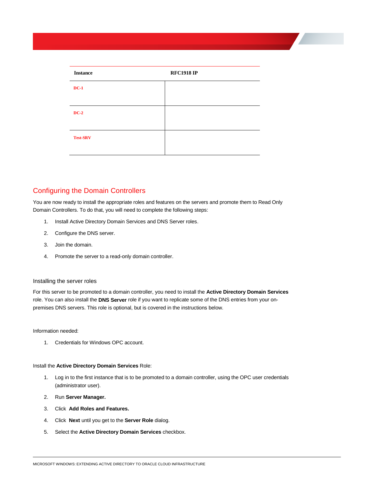| <b>Instance</b> | <b>RFC1918 IP</b> |
|-----------------|-------------------|
| $DC-1$          |                   |
|                 |                   |
| $DC-2$          |                   |
|                 |                   |
| <b>Test-SRV</b> |                   |
|                 |                   |

## <span id="page-8-0"></span>Configuring the Domain Controllers

You are now ready to install the appropriate roles and features on the servers and promote them to Read Only Domain Controllers. To do that, you will need to complete the following steps:

- 1. Install Active Directory Domain Services and DNS Server roles.
- 2. Configure the DNS server.
- 3. Join the domain.
- 4. Promote the server to a read-only domain controller.

#### <span id="page-8-1"></span>Installing the server roles

For this server to be promoted to a domain controller, you need to install the **Active Directory Domain Services**  role. You can also install the **DNS Server** role if you want to replicate some of the DNS entries from your onpremises DNS servers. This role is optional, but is covered in the instructions below.

#### Information needed:

1. Credentials for Windows OPC account.

#### Install the **Active Directory Domain Services** Role:

- 1. Log in to the first instance that is to be promoted to a domain controller, using the OPC user credentials (administrator user).
- 2. Run **Server Manager.**
- 3. Click **Add Roles and Features.**
- 4. Click **Next** until you get to the **Server Role** dialog.
- 5. Select the **Active Directory Domain Services** checkbox.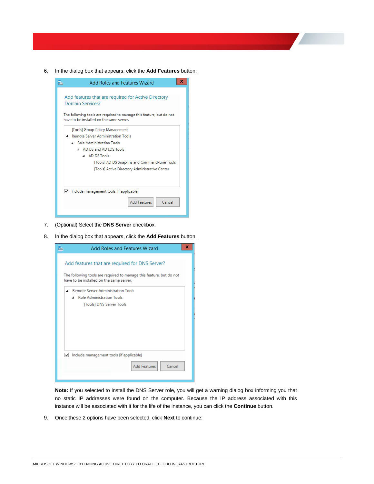6. In the dialog box that appears, click the **Add Features** button.



- 7. (Optional) Select the **DNS Server** checkbox.
- 8. In the dialog box that appears, click the **Add Features** button.



**Note:** If you selected to install the DNS Server role, you will get a warning dialog box informing you that no static IP addresses were found on the computer. Because the IP address associated with this instance will be associated with it for the life of the instance, you can click the **Continue** button.

9. Once these 2 options have been selected, click **Next** to continue: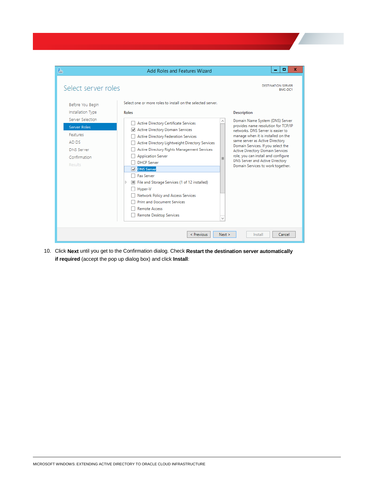| ħ                                                                                                                                              | Add Roles and Features Wizard                                                                                                                                                                                                                                                                                                                                                                                                                                                                                                                               | о<br>×                                                                                                                                                                                                                                                                                                                                                                                              |
|------------------------------------------------------------------------------------------------------------------------------------------------|-------------------------------------------------------------------------------------------------------------------------------------------------------------------------------------------------------------------------------------------------------------------------------------------------------------------------------------------------------------------------------------------------------------------------------------------------------------------------------------------------------------------------------------------------------------|-----------------------------------------------------------------------------------------------------------------------------------------------------------------------------------------------------------------------------------------------------------------------------------------------------------------------------------------------------------------------------------------------------|
| Select server roles                                                                                                                            | Select one or more roles to install on the selected server.                                                                                                                                                                                                                                                                                                                                                                                                                                                                                                 | DESTINATION SERVER<br>BMC-DC1                                                                                                                                                                                                                                                                                                                                                                       |
| Before You Begin<br>Installation Type<br>Server Selection<br>Server Roles<br>Features<br>AD DS<br><b>DNS Server</b><br>Confirmation<br>Results | <b>Roles</b><br>Active Directory Certificate Services<br><b>Active Directory Domain Services</b><br>◡<br><b>Active Directory Federation Services</b><br>Active Directory Lightweight Directory Services<br>Active Directory Rights Management Services<br><b>Application Server</b><br>$\equiv$<br><b>DHCP Server</b><br><b>DNS Server</b><br>☑<br><b>Fax Server</b><br>File and Storage Services (1 of 12 installed)<br>$\blacksquare$<br>D<br>Hyper-V<br>Network Policy and Access Services<br><b>Print and Document Services</b><br><b>Remote Access</b> | <b>Description</b><br>Domain Name System (DNS) Server<br>provides name resolution for TCP/IP<br>networks. DNS Server is easier to<br>manage when it is installed on the<br>same server as Active Directory<br>Domain Services. If you select the<br>Active Directory Domain Services<br>role, you can install and configure<br>DNS Server and Active Directory<br>Domain Services to work together. |
|                                                                                                                                                | Remote Desktop Services<br>$\checkmark$<br>Next ><br>< Previous                                                                                                                                                                                                                                                                                                                                                                                                                                                                                             | Install<br>Cancel                                                                                                                                                                                                                                                                                                                                                                                   |

10. Click **Next** until you get to the Confirmation dialog. Check **Restart the destination server automatically if required** (accept the pop up dialog box) and click **Install**: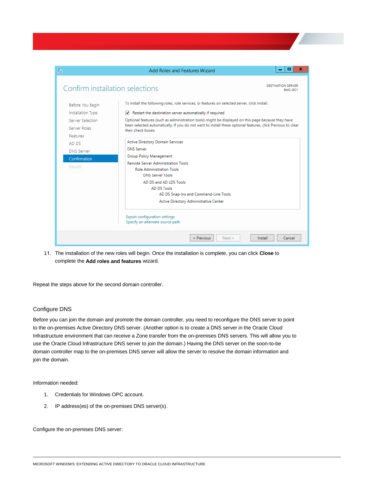| P                               | Add Roles and Features Wizard                                                                                                     | x<br>о                               |
|---------------------------------|-----------------------------------------------------------------------------------------------------------------------------------|--------------------------------------|
| Confirm installation selections |                                                                                                                                   | <b>DESTINATION SERVER</b><br>RMC-DC1 |
| Before You Begin                | To install the following roles, role services, or features on selected server, click Install.                                     |                                      |
| Installation Type               | Restart the destination server automatically if required<br>∣✓∣                                                                   |                                      |
| Server Selection                | Optional features (such as administration tools) might be displayed on this page because they have                                |                                      |
| Server Roles                    | been selected automatically. If you do not want to install these optional features, click Previous to clear<br>their check boxes. |                                      |
| Features                        |                                                                                                                                   |                                      |
| AD DS                           | <b>Active Directory Domain Services</b>                                                                                           |                                      |
| DNS Server                      | <b>DNS Server</b>                                                                                                                 |                                      |
| Confirmation                    | Group Policy Management                                                                                                           |                                      |
| Results                         | Remote Server Administration Tools<br><b>Role Administration Tools</b>                                                            |                                      |
|                                 | <b>DNS Server Tools</b>                                                                                                           |                                      |
|                                 | AD DS and AD LDS Tools                                                                                                            |                                      |
|                                 | AD DS Tools                                                                                                                       |                                      |
|                                 | AD DS Snap-Ins and Command-Line Tools                                                                                             |                                      |
|                                 | Active Directory Administrative Center                                                                                            |                                      |
|                                 | <b>Export configuration settings</b><br>Specify an alternate source path                                                          |                                      |
|                                 | < Previous<br>Next >                                                                                                              | Install<br>Cancel                    |

11. The installation of the new roles will begin. Once the installation is complete, you can click **Close** to complete the **Add roles and features** wizard.

Repeat the steps above for the second domain controller.

## <span id="page-11-0"></span>Configure DNS

Before you can join the domain and promote the domain controller, you need to reconfigure the DNS server to point to the on-premises Active Directory DNS server. (Another option is to create a DNS server in the Oracle Cloud Infrastructure environment that can receive a Zone transfer from the on-premises DNS servers. This will allow you to use the Oracle Cloud Infrastructure DNS server to join the domain.) Having the DNS server on the soon-to-be domain controller map to the on-premises DNS server will allow the server to resolve the domain information and join the domain.

Information needed:

- 1. Credentials for Windows OPC account.
- 2. IP address(es) of the on-premises DNS server(s).

Configure the on-premises DNS server: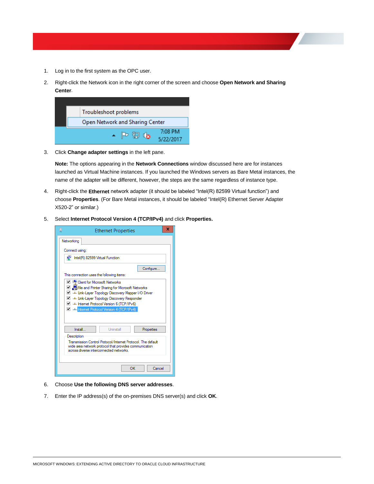- 1. Log in to the first system as the OPC user.
- 2. Right-click the Network icon in the right corner of the screen and choose **Open Network and Sharing Center**.

| Troubleshoot problems                                  |                      |
|--------------------------------------------------------|----------------------|
| Open Network and Sharing Center                        |                      |
| $\overline{\phantom{a}}$ P $\overline{\phantom{a}}$ da | 7:08 PM<br>5/22/2017 |

3. Click **Change adapter settings** in the left pane.

**Note:** The options appearing in the **Network Connections** window discussed here are for instances launched as Virtual Machine instances. If you launched the Windows servers as Bare Metal instances, the name of the adapter will be different, however, the steps are the same regardless of instance type.

- 4. Right-click the **Ethernet** network adapter (it should be labeled "Intel(R) 82599 Virtual function") and choose **Properties**. (For Bare Metal instances, it should be labeled "Intel(R) Ethernet Server Adapter X520-2" or similar.)
- 5. Select **Internet Protocol Version 4 (TCP/IPv4)** and click **Properties.**

| Networking<br>Connect using:<br>a)<br>Intel(R) 82599 Virtual Function<br>Configure<br>This connection uses the following items:<br>□ <sup>□</sup> Client for Microsoft Networks<br>☑ ■ File and Printer Sharing for Microsoft Networks<br>Link-Laver Topology Discovery Mapper I/O Driver<br>Link-Layer Topology Discovery Responder<br>A Internet Protocol Version 6 (TCP/IPv6)<br><b>M</b> 2 Internet Protocol Version 4 (TCP/IPv4)<br>Uninstall<br>Install<br>Properties<br>Description<br>Transmission Control Protocol/Internet Protocol. The default<br>wide area network protocol that provides communication<br>across diverse interconnected networks. | φ | <b>Ethernet Properties</b> | x |
|-----------------------------------------------------------------------------------------------------------------------------------------------------------------------------------------------------------------------------------------------------------------------------------------------------------------------------------------------------------------------------------------------------------------------------------------------------------------------------------------------------------------------------------------------------------------------------------------------------------------------------------------------------------------|---|----------------------------|---|
|                                                                                                                                                                                                                                                                                                                                                                                                                                                                                                                                                                                                                                                                 |   |                            |   |
|                                                                                                                                                                                                                                                                                                                                                                                                                                                                                                                                                                                                                                                                 |   |                            |   |
|                                                                                                                                                                                                                                                                                                                                                                                                                                                                                                                                                                                                                                                                 |   |                            |   |
|                                                                                                                                                                                                                                                                                                                                                                                                                                                                                                                                                                                                                                                                 |   |                            |   |
|                                                                                                                                                                                                                                                                                                                                                                                                                                                                                                                                                                                                                                                                 |   |                            |   |
|                                                                                                                                                                                                                                                                                                                                                                                                                                                                                                                                                                                                                                                                 |   |                            |   |
|                                                                                                                                                                                                                                                                                                                                                                                                                                                                                                                                                                                                                                                                 |   |                            |   |
| OK<br>Cancel                                                                                                                                                                                                                                                                                                                                                                                                                                                                                                                                                                                                                                                    |   |                            |   |

- 6. Choose **Use the following DNS server addresses**.
- 7. Enter the IP address(s) of the on-premises DNS server(s) and click **OK**.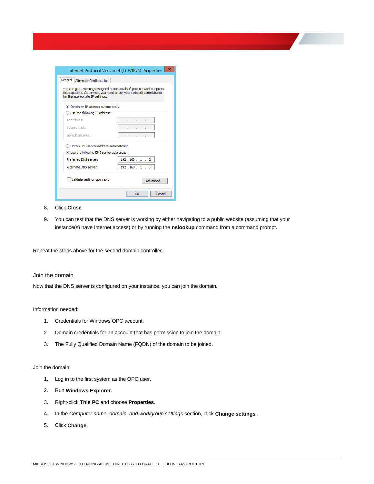| Internet Protocol Version 4 (TCP/IPv4) Properties                                                                                                                                     | x            |
|---------------------------------------------------------------------------------------------------------------------------------------------------------------------------------------|--------------|
| General<br>Alternate Configuration                                                                                                                                                    |              |
| You can get IP settings assigned automatically if your network supports<br>this capability. Otherwise, you need to ask your network administrator<br>for the appropriate IP settings. |              |
| (a) Obtain an IP address automatically                                                                                                                                                |              |
| $\bigcirc$ Use the following IP address:                                                                                                                                              |              |
| TP address:                                                                                                                                                                           |              |
| Subnet mask:                                                                                                                                                                          |              |
| Default gateway:                                                                                                                                                                      |              |
| Obtain DNS server address automatically                                                                                                                                               |              |
| (•) Use the following DNS server addresses:                                                                                                                                           |              |
| Preferred DNS server:                                                                                                                                                                 | 192.168.1.2  |
| Alternate DNS server:                                                                                                                                                                 | 192.168.1.3  |
| Validate settings upon exit                                                                                                                                                           | Advanced     |
|                                                                                                                                                                                       | Cancel<br>OK |

- 8. Click **Close**.
- 9. You can test that the DNS server is working by either navigating to a public website (assuming that your instance(s) have Internet access) or by running the **nslookup** command from a command prompt.

Repeat the steps above for the second domain controller.

### <span id="page-13-0"></span>Join the domain

Now that the DNS server is configured on your instance, you can join the domain.

#### Information needed:

- 1. Credentials for Windows OPC account.
- 2. Domain credentials for an account that has permission to join the domain.
- 3. The Fully Qualified Domain Name (FQDN) of the domain to be joined.

#### Join the domain:

- 1. Log in to the first system as the OPC user.
- 2. Run **Windows Explorer.**
- 3. Right-click **This PC** and choose **Properties**.
- 4. In the *Computer name, domain, and workgroup settings* section, click **Change settings**.
- 5. Click **Change**.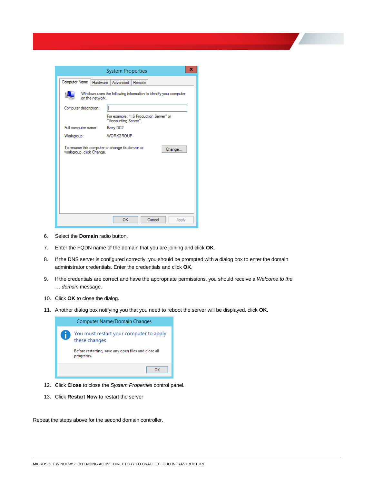|                                  | ×<br><b>System Properties</b>                                    |
|----------------------------------|------------------------------------------------------------------|
| Computer Name<br><b>Hardware</b> | Advanced<br>Remote                                               |
| on the network                   | Windows uses the following information to identify your computer |
| Computer description:            |                                                                  |
|                                  | For example: "IIS Production Server" or<br>"Accounting Server".  |
| Full computer name:              | Barry-DC2                                                        |
| Workgroup:                       | <b>WORKGROUP</b>                                                 |
| workgroup, click Change.         | To rename this computer or change its domain or<br>Change        |
|                                  | OK<br>Cancel<br>Apply                                            |

- 6. Select the **Domain** radio button.
- 7. Enter the FQDN name of the domain that you are joining and click **OK**.
- 8. If the DNS server is configured correctly, you should be prompted with a dialog box to enter the domain administrator credentials. Enter the credentials and click **OK**.
- 9. If the credentials are correct and have the appropriate permissions, you should receive a *Welcome to the … domain* message.
- 10. Click **OK** to close the dialog.
- 11. Another dialog box notifying you that you need to reboot the server will be displayed, click **OK.**



- 12. Click **Close** to close the *System Properties* control panel.
- 13. Click **Restart Now** to restart the server

Repeat the steps above for the second domain controller.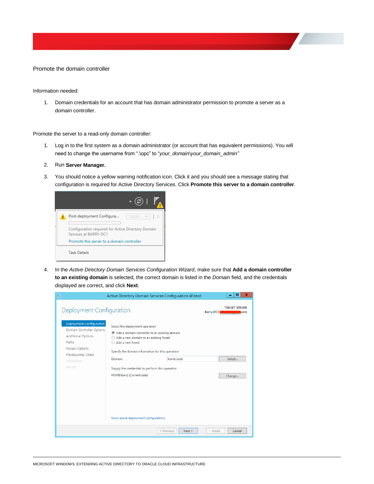<span id="page-15-0"></span>Promote the domain controller

Information needed:

1. Domain credentials for an account that has domain administrator permission to promote a server as a domain controller.

Promote the server to a read-only domain controller:

- 1. Log in to the first system as a domain administrator (or account that has equivalent permissions). You will need to change the username from ".\opc" to "*your\_domain\your\_domain\_admin"*
- 2. Run **Server Manager.**
- 3. You should notice a yellow warning notification icon. Click it and you should see a message stating that configuration is required for Active Directory Services. Click **Promote this server to a domain controller**.

| $\bullet$                                                                   |
|-----------------------------------------------------------------------------|
| Post-deployment Configura<br>TASKS                                          |
| Configuration required for Active Directory Domain<br>Services at BARRY-DC1 |
| Promote this server to a domain controller                                  |
| <b>Task Details</b>                                                         |

4. In the *Active Directory Domain Services Configuration Wizard*, make sure that **Add a domain controller to an existing domain** is selected, the correct domain is listed in the *Domain* field, and the credentials displayed are correct, and click **Next**.

| 閤                                                                                                                                                                                                         | Active Directory Domain Services Configuration Wizard                                                                                                                                                                                                                                                |                      |            | x<br>o                                          |
|-----------------------------------------------------------------------------------------------------------------------------------------------------------------------------------------------------------|------------------------------------------------------------------------------------------------------------------------------------------------------------------------------------------------------------------------------------------------------------------------------------------------------|----------------------|------------|-------------------------------------------------|
| Deployment Configuration<br>Deployment Configuration<br>Domain Controller Options<br><b>Additional Options</b><br>Paths<br><b>Review Options</b><br>Prerequisites Check<br><b>Installation</b><br>Results | Select the deployment operation<br>Add a domain controller to an existing domain<br>Add a new domain to an existing forest<br>O<br>Add a new forest<br>Specify the domain information for this operation<br>Domain:<br>Supply the credentials to perform this operation<br>HOME\barry (Current user) | home.local           | Barry-DC1. | <b>TARGET SERVER</b><br>com<br>Select<br>Change |
|                                                                                                                                                                                                           | More about deployment configurations                                                                                                                                                                                                                                                                 | < Previous<br>Next > | Install    | Cancel                                          |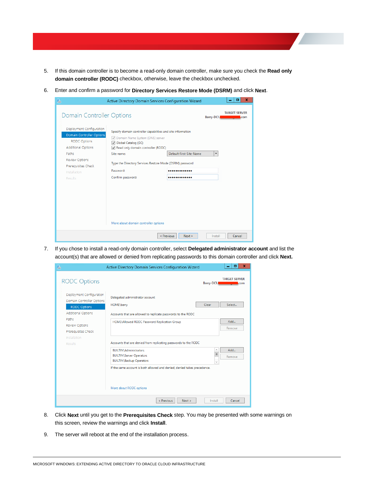- 5. If this domain controller is to become a read-only domain controller, make sure you check the **Read only domain controller (RODC)** checkbox, otherwise, leave the checkbox unchecked.
- 6. Enter and confirm a password for **Directory Services Restore Mode (DSRM)** and click **Next**.

| ħ                                                                                                                                                                                                                                        | Active Directory Domain Services Configuration Wizard                                                                                                                                                                                                                   |                             | ▫<br>×                                                                       |
|------------------------------------------------------------------------------------------------------------------------------------------------------------------------------------------------------------------------------------------|-------------------------------------------------------------------------------------------------------------------------------------------------------------------------------------------------------------------------------------------------------------------------|-----------------------------|------------------------------------------------------------------------------|
| <b>Domain Controller Options</b><br>Deployment Configuration<br><b>Domain Controller Options</b><br><b>RODC Options</b><br><b>Additional Options</b><br>Paths<br><b>Review Options</b><br>Prerequisites Check<br>Installation<br>Results | Specify domain controller capabilities and site information<br>Domain Name System (DNS) server<br>Global Catalog (GC)<br>Read only domain controller (RODC)<br>Site name:<br>Type the Directory Services Restore Mode (DSRM) password<br>Password:<br>Confirm password: | Default-First-Site-Name<br> | <b>TARGET SERVER</b><br>Barry-DC1.<br><b>com</b><br>$\overline{\phantom{a}}$ |
|                                                                                                                                                                                                                                          |                                                                                                                                                                                                                                                                         |                             |                                                                              |
|                                                                                                                                                                                                                                          | More about domain controller options                                                                                                                                                                                                                                    |                             |                                                                              |
|                                                                                                                                                                                                                                          |                                                                                                                                                                                                                                                                         | < Previous<br>Next >        | Cancel<br>Install                                                            |

7. If you chose to install a read-only domain controller, select **Delegated administrator account** and list the account(s) that are allowed or denied from replicating passwords to this domain controller and click **Next.**

| ħ                                                                                  | Active Directory Domain Services Configuration Wizard                                                        |                          | x<br>▫                      |  |
|------------------------------------------------------------------------------------|--------------------------------------------------------------------------------------------------------------|--------------------------|-----------------------------|--|
| <b>RODC Options</b>                                                                |                                                                                                              | Barry-DC1.               | <b>TARGET SERVER</b><br>com |  |
| Deployment Configuration                                                           | Delegated administrator account                                                                              |                          |                             |  |
| Domain Controller Options<br><b>RODC Options</b>                                   | HOME\barry                                                                                                   | Clear                    | Select                      |  |
| <b>Additional Options</b><br>Paths<br><b>Review Options</b><br>Prerequisites Check | Accounts that are allowed to replicate passwords to the RODC<br>HOME\Allowed RODC Password Replication Group | Add<br>Remove            |                             |  |
| Installation<br>Results                                                            | Accounts that are denied from replicating passwords to the RODC                                              |                          |                             |  |
|                                                                                    | <b>BUILTIN\Administrators</b><br><b>BUILTIN\Server Operators</b><br><b>BUILTIN\Backup Operators</b>          | $\equiv$<br>$\checkmark$ | Add<br>Remove               |  |
|                                                                                    | If the same account is both allowed and denied, denied takes precedence.<br>More about RODC options          |                          |                             |  |
|                                                                                    | Next ><br>< Previous                                                                                         | Install                  | Cancel                      |  |

- 8. Click **Next** until you get to the **Prerequisites Check** step. You may be presented with some warnings on this screen, review the warnings and click **Install**.
- 9. The server will reboot at the end of the installation process.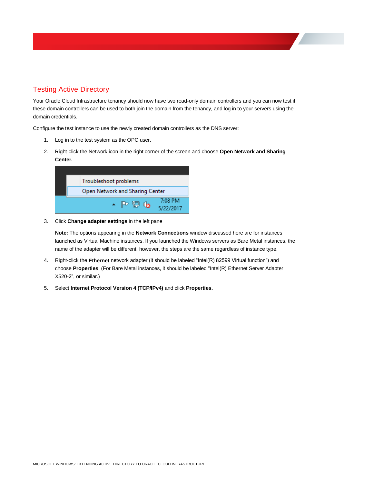## <span id="page-17-0"></span>Testing Active Directory

Your Oracle Cloud Infrastructure tenancy should now have two read-only domain controllers and you can now test if these domain controllers can be used to both join the domain from the tenancy, and log in to your servers using the domain credentials.

Configure the test instance to use the newly created domain controllers as the DNS server:

- 1. Log in to the test system as the OPC user.
- 2. Right-click the Network icon in the right corner of the screen and choose **Open Network and Sharing Center**.

| Troubleshoot problems                |                      |  |  |
|--------------------------------------|----------------------|--|--|
| Open Network and Sharing Center      |                      |  |  |
| $\blacktriangle$ P Q $\blacklozenge$ | 7:08 PM<br>5/22/2017 |  |  |

3. Click **Change adapter settings** in the left pane

**Note:** The options appearing in the **Network Connections** window discussed here are for instances launched as Virtual Machine instances. If you launched the Windows servers as Bare Metal instances, the name of the adapter will be different, however, the steps are the same regardless of instance type.

- 4. Right-click the **Ethernet** network adapter (it should be labeled "Intel(R) 82599 Virtual function") and choose **Properties**. (For Bare Metal instances, it should be labeled "Intel(R) Ethernet Server Adapter X520-2", or similar.)
- 5. Select **Internet Protocol Version 4 (TCP/IPv4)** and click **Properties.**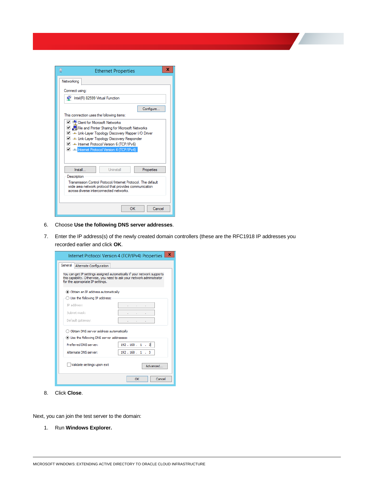| Ū                                                                                                                                                                                                                                                                                                                | <b>Ethernet Properties</b>                             | x |  |  |  |  |
|------------------------------------------------------------------------------------------------------------------------------------------------------------------------------------------------------------------------------------------------------------------------------------------------------------------|--------------------------------------------------------|---|--|--|--|--|
| Networking                                                                                                                                                                                                                                                                                                       |                                                        |   |  |  |  |  |
|                                                                                                                                                                                                                                                                                                                  | Connect using:                                         |   |  |  |  |  |
| œ                                                                                                                                                                                                                                                                                                                | Intel(R) 82599 Virtual Function                        |   |  |  |  |  |
|                                                                                                                                                                                                                                                                                                                  | Configure<br>This connection uses the following items: |   |  |  |  |  |
| □ <sup>□</sup> Client for Microsoft Networks<br>☑ 의 Hile and Printer Sharing for Microsoft Networks<br>A Link-Layer Topology Discovery Mapper I/O Driver<br>Link-Layer Topology Discovery Responder<br>A Linternet Protocol Version 6 (TCP/IPv6)<br><b>M</b> <sup>1</sup> Internet Protocol Version 4 (TCP/IPv4) |                                                        |   |  |  |  |  |
| Install                                                                                                                                                                                                                                                                                                          | Uninstall<br>Properties                                |   |  |  |  |  |
| Description<br>Transmission Control Protocol/Internet Protocol. The default<br>wide area network protocol that provides communication<br>across diverse interconnected networks.<br>OK<br>Cancel                                                                                                                 |                                                        |   |  |  |  |  |

- 6. Choose **Use the following DNS server addresses**.
- 7. Enter the IP address(s) of the newly created domain controllers (these are the RFC1918 IP addresses you recorded earlier and click **OK**.

| Internet Protocol Version 4 (TCP/IPv4) Properties | ×                                                                                                                                                 |  |  |  |  |  |
|---------------------------------------------------|---------------------------------------------------------------------------------------------------------------------------------------------------|--|--|--|--|--|
| General<br>Alternate Configuration                |                                                                                                                                                   |  |  |  |  |  |
| for the appropriate IP settings.                  | You can get IP settings assigned automatically if your network supports<br>this capability. Otherwise, you need to ask your network administrator |  |  |  |  |  |
| O Obtain an IP address automatically              |                                                                                                                                                   |  |  |  |  |  |
| $\bigcirc$ Use the following IP address:          |                                                                                                                                                   |  |  |  |  |  |
| IP address:                                       |                                                                                                                                                   |  |  |  |  |  |
| Subnet mask:                                      |                                                                                                                                                   |  |  |  |  |  |
| Default gateway:                                  |                                                                                                                                                   |  |  |  |  |  |
| Obtain DNS server address automatically           |                                                                                                                                                   |  |  |  |  |  |
| O Use the following DNS server addresses:         |                                                                                                                                                   |  |  |  |  |  |
| Preferred DNS server:                             | 192.168.1.2                                                                                                                                       |  |  |  |  |  |
| Alternate DNS server:                             | 192.168.1.3                                                                                                                                       |  |  |  |  |  |
| Validate settings upon exit                       | Advanced                                                                                                                                          |  |  |  |  |  |
|                                                   | Cancel<br>OK                                                                                                                                      |  |  |  |  |  |

8. Click **Close**.

Next, you can join the test server to the domain:

1. Run **Windows Explorer.**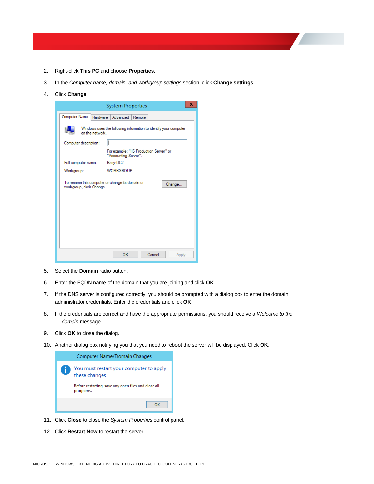- 2. Right-click **This PC** and choose **Properties.**
- 3. In the *Computer name, domain, and workgroup settings* section, click **Change settings**.
- 4. Click **Change**.

| <b>System Properties</b>                                                           |                       |                                                                 |        |        | x      |  |
|------------------------------------------------------------------------------------|-----------------------|-----------------------------------------------------------------|--------|--------|--------|--|
| Computer Name                                                                      | Hardware              | Advanced                                                        | Remote |        |        |  |
| Windows uses the following information to identify your computer<br>on the network |                       |                                                                 |        |        |        |  |
|                                                                                    | Computer description: |                                                                 |        |        |        |  |
|                                                                                    |                       | For example: "IIS Production Server" or<br>"Accounting Server". |        |        |        |  |
| Full computer name:                                                                |                       | Barry-DC2                                                       |        |        |        |  |
| Workgroup:                                                                         |                       | <b>WORKGROUP</b>                                                |        |        |        |  |
| To rename this computer or change its domain or<br>workgroup, click Change.        |                       |                                                                 |        |        | Change |  |
|                                                                                    |                       | OK                                                              |        | Cancel | Apply  |  |

- 5. Select the **Domain** radio button.
- 6. Enter the FQDN name of the domain that you are joining and click **OK**.
- 7. If the DNS server is configured correctly, you should be prompted with a dialog box to enter the domain administrator credentials. Enter the credentials and click **OK**.
- 8. If the credentials are correct and have the appropriate permissions, you should receive a *Welcome to the … domain* message.
- 9. Click **OK** to close the dialog.
- 10. Another dialog box notifying you that you need to reboot the server will be displayed. Click **OK**.



- 11. Click **Close** to close the *System Properties* control panel.
- 12. Click **Restart Now** to restart the server.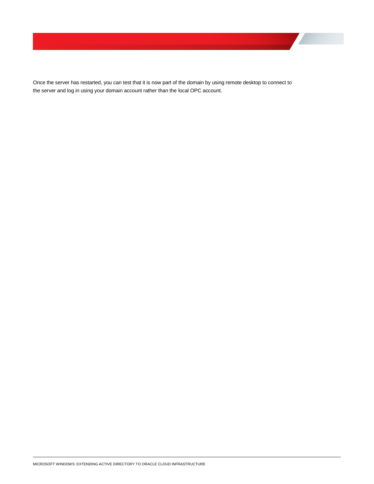Once the server has restarted, you can test that it is now part of the domain by using remote desktop to connect to the server and log in using your domain account rather than the local OPC account.